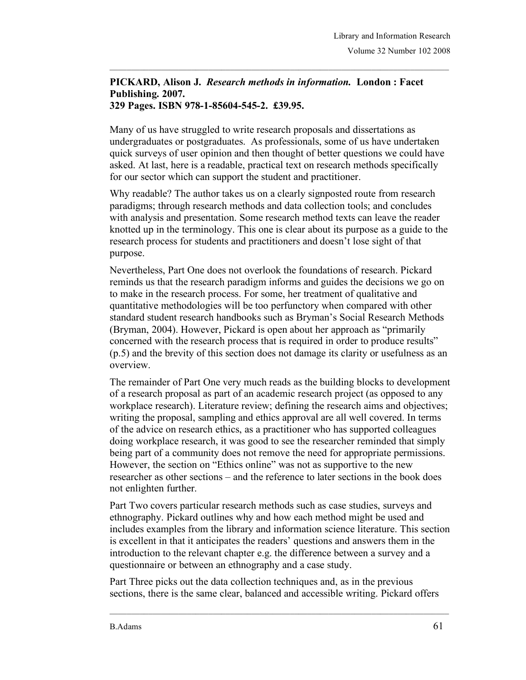## **PICKARD, Alison J.** *Research methods in information.* **London : Facet Publishing. 2007. 329 Pages. ISBN 978-1-85604-545-2. £39.95.**

Many of us have struggled to write research proposals and dissertations as undergraduates or postgraduates. As professionals, some of us have undertaken quick surveys of user opinion and then thought of better questions we could have asked. At last, here is a readable, practical text on research methods specifically for our sector which can support the student and practitioner.

Why readable? The author takes us on a clearly signposted route from research paradigms; through research methods and data collection tools; and concludes with analysis and presentation. Some research method texts can leave the reader knotted up in the terminology. This one is clear about its purpose as a guide to the research process for students and practitioners and doesn't lose sight of that purpose.

Nevertheless, Part One does not overlook the foundations of research. Pickard reminds us that the research paradigm informs and guides the decisions we go on to make in the research process. For some, her treatment of qualitative and quantitative methodologies will be too perfunctory when compared with other standard student research handbooks such as Bryman's Social Research Methods (Bryman, 2004). However, Pickard is open about her approach as "primarily concerned with the research process that is required in order to produce results" (p.5) and the brevity of this section does not damage its clarity or usefulness as an overview.

The remainder of Part One very much reads as the building blocks to development of a research proposal as part of an academic research project (as opposed to any workplace research). Literature review; defining the research aims and objectives; writing the proposal, sampling and ethics approval are all well covered. In terms of the advice on research ethics, as a practitioner who has supported colleagues doing workplace research, it was good to see the researcher reminded that simply being part of a community does not remove the need for appropriate permissions. However, the section on "Ethics online" was not as supportive to the new researcher as other sections – and the reference to later sections in the book does not enlighten further.

Part Two covers particular research methods such as case studies, surveys and ethnography. Pickard outlines why and how each method might be used and includes examples from the library and information science literature. This section is excellent in that it anticipates the readers' questions and answers them in the introduction to the relevant chapter e.g. the difference between a survey and a questionnaire or between an ethnography and a case study.

Part Three picks out the data collection techniques and, as in the previous sections, there is the same clear, balanced and accessible writing. Pickard offers

 $\mathcal{L}_\text{max}$